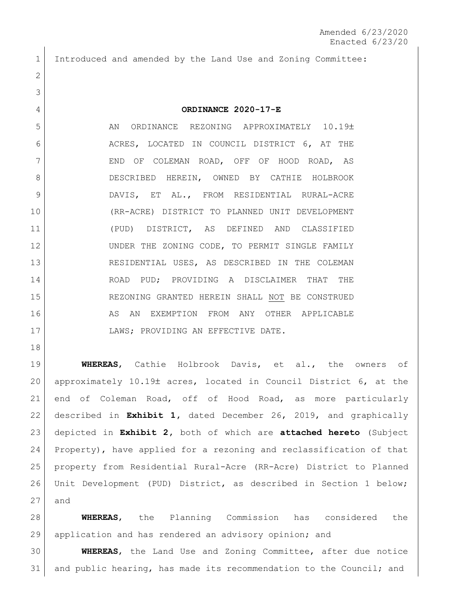Introduced and amended by the Land Use and Zoning Committee:

## **ORDINANCE 2020-17-E**

5 AN ORDINANCE REZONING APPROXIMATELY 10.19± 6 ACRES, LOCATED IN COUNCIL DISTRICT 6, AT THE 7 | END OF COLEMAN ROAD, OFF OF HOOD ROAD, AS 8 DESCRIBED HEREIN, OWNED BY CATHIE HOLBROOK 9 DAVIS, ET AL., FROM RESIDENTIAL RURAL-ACRE (RR-ACRE) DISTRICT TO PLANNED UNIT DEVELOPMENT (PUD) DISTRICT, AS DEFINED AND CLASSIFIED 12 UNDER THE ZONING CODE, TO PERMIT SINGLE FAMILY RESIDENTIAL USES, AS DESCRIBED IN THE COLEMAN ROAD PUD; PROVIDING A DISCLAIMER THAT THE REZONING GRANTED HEREIN SHALL NOT BE CONSTRUED 16 AS AN EXEMPTION FROM ANY OTHER APPLICABLE 17 | LAWS; PROVIDING AN EFFECTIVE DATE.

 **WHEREAS**, Cathie Holbrook Davis, et al., the owners of 20 approximately 10.19± acres, located in Council District 6, at the end of Coleman Road, off of Hood Road, as more particularly described in **Exhibit 1,** dated December 26, 2019, and graphically depicted in **Exhibit 2,** both of which are **attached hereto** (Subject Property), have applied for a rezoning and reclassification of that property from Residential Rural-Acre (RR-Acre) District to Planned Unit Development (PUD) District, as described in Section 1 below; and

 **WHEREAS**, the Planning Commission has considered the application and has rendered an advisory opinion; and

 **WHEREAS**, the Land Use and Zoning Committee, after due notice and public hearing, has made its recommendation to the Council; and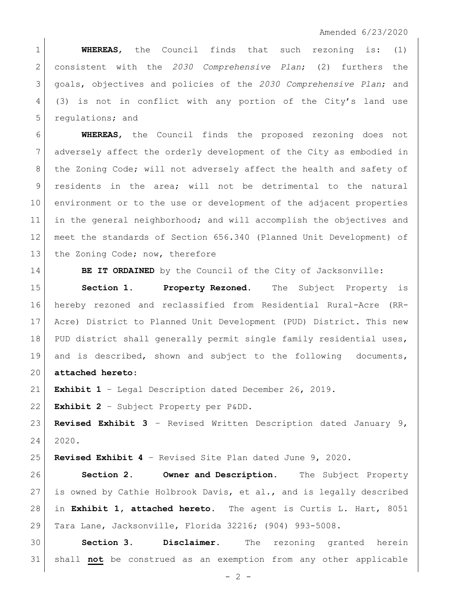**WHEREAS**, the Council finds that such rezoning is: (1) consistent with the *2030 Comprehensive Plan*; (2) furthers the goals, objectives and policies of the *2030 Comprehensive Plan*; and (3) is not in conflict with any portion of the City's land use 5 regulations; and

 **WHEREAS**, the Council finds the proposed rezoning does not adversely affect the orderly development of the City as embodied in 8 | the Zoning Code; will not adversely affect the health and safety of residents in the area; will not be detrimental to the natural environment or to the use or development of the adjacent properties in the general neighborhood; and will accomplish the objectives and meet the standards of Section 656.340 (Planned Unit Development) of 13 the Zoning Code; now, therefore

**BE IT ORDAINED** by the Council of the City of Jacksonville:

 **Section 1. Property Rezoned.** The Subject Property is hereby rezoned and reclassified from Residential Rural-Acre (RR- Acre) District to Planned Unit Development (PUD) District. This new 18 PUD district shall generally permit single family residential uses, and is described, shown and subject to the following documents,

**attached hereto**:

**Exhibit 1** – Legal Description dated December 26, 2019.

**Exhibit 2** – Subject Property per P&DD.

 **Revised Exhibit 3** – Revised Written Description dated January 9, 2020.

**Revised Exhibit 4** – Revised Site Plan dated June 9, 2020.

 **Section 2. Owner and Description.** The Subject Property is owned by Cathie Holbrook Davis, et al., and is legally described in **Exhibit 1, attached hereto**. The agent is Curtis L. Hart, 8051 Tara Lane, Jacksonville, Florida 32216; (904) 993-5008.

 **Section 3. Disclaimer.** The rezoning granted herein shall **not** be construed as an exemption from any other applicable

 $- 2 -$